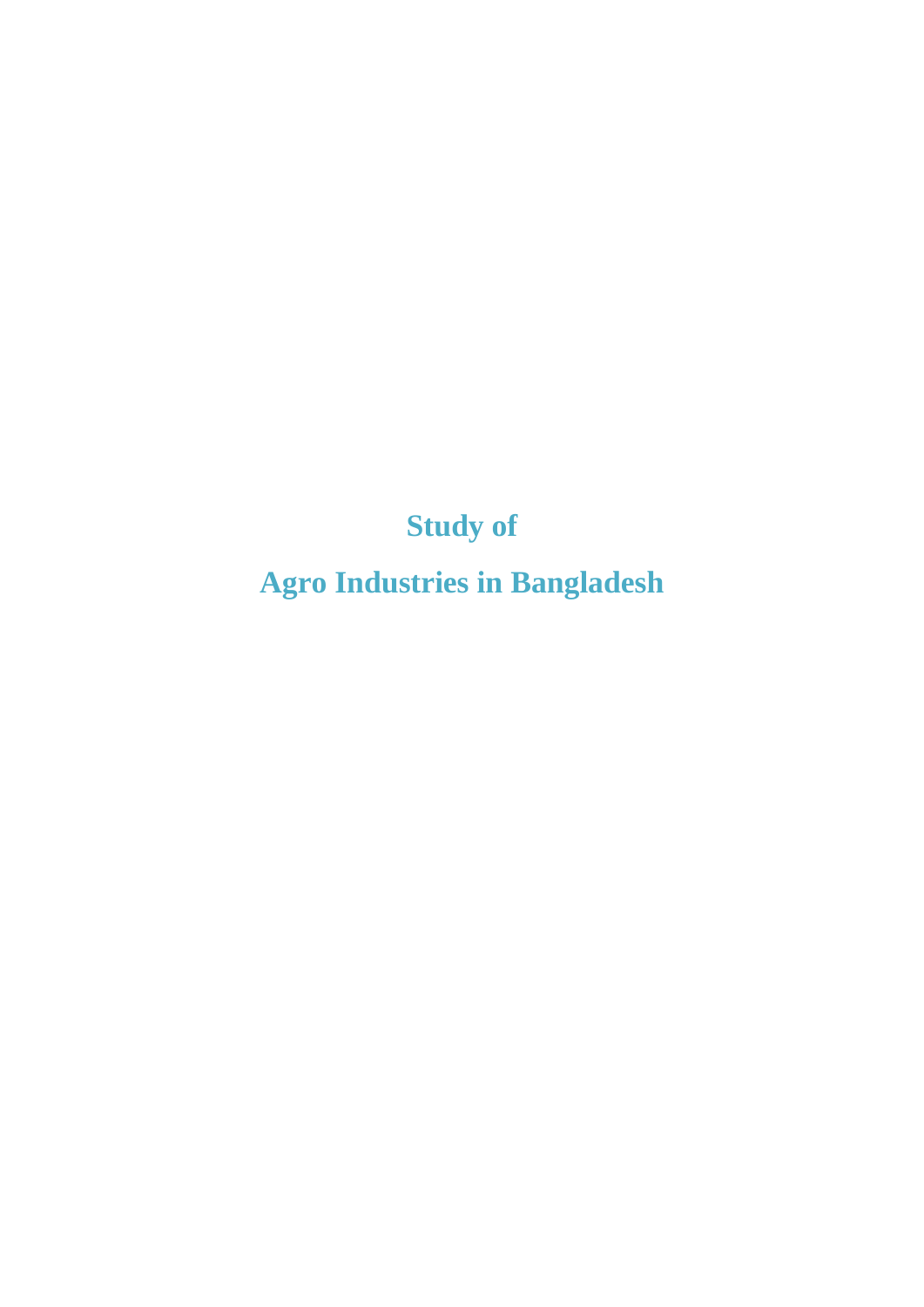**Study of**

**Agro Industries in Bangladesh**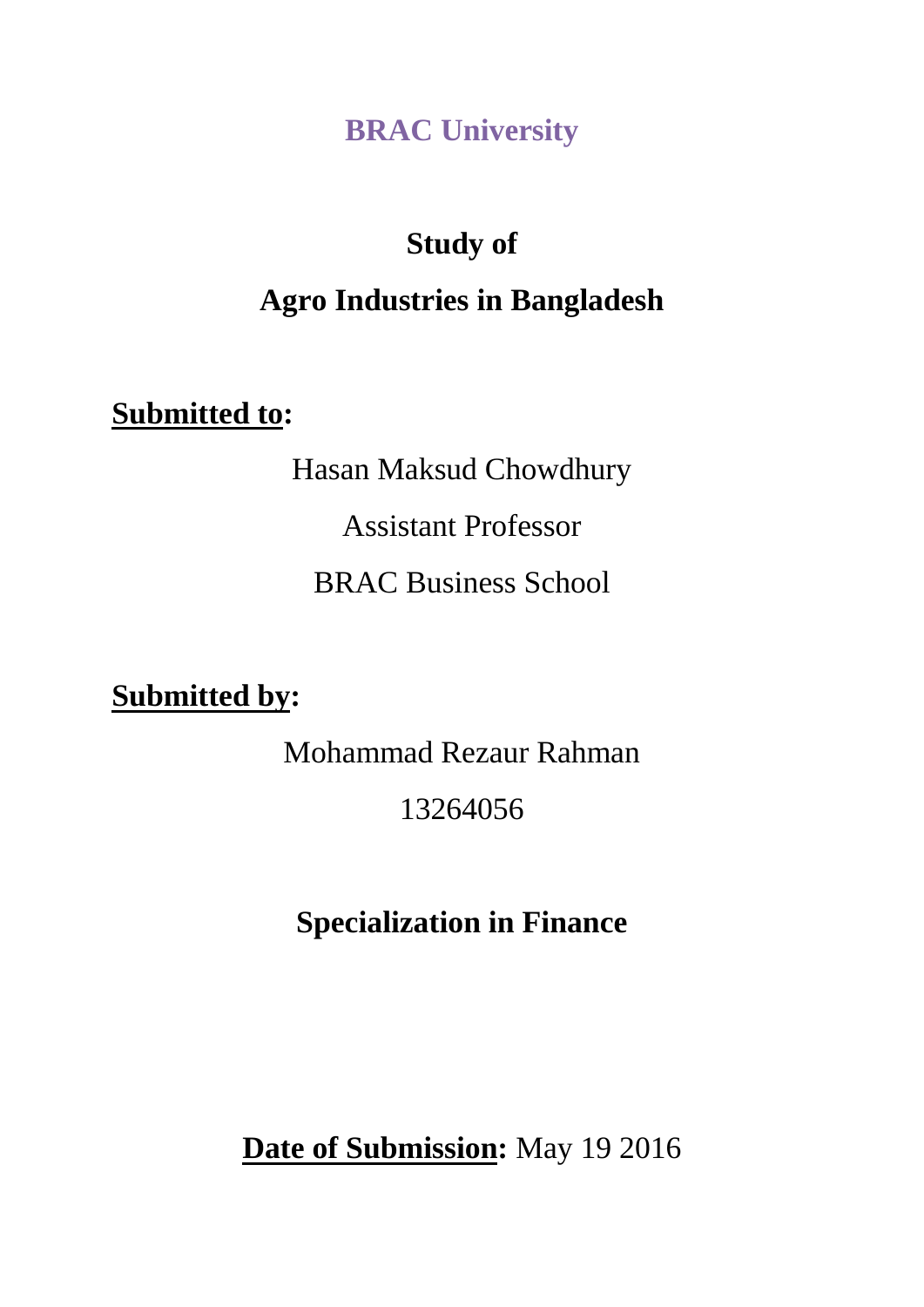**BRAC University**

# **Study of Agro Industries in Bangladesh**

**Submitted to:**

Hasan Maksud Chowdhury

Assistant Professor

BRAC Business School

**Submitted by:**

Mohammad Rezaur Rahman

13264056

**Specialization in Finance**

**Date of Submission:** May 19 2016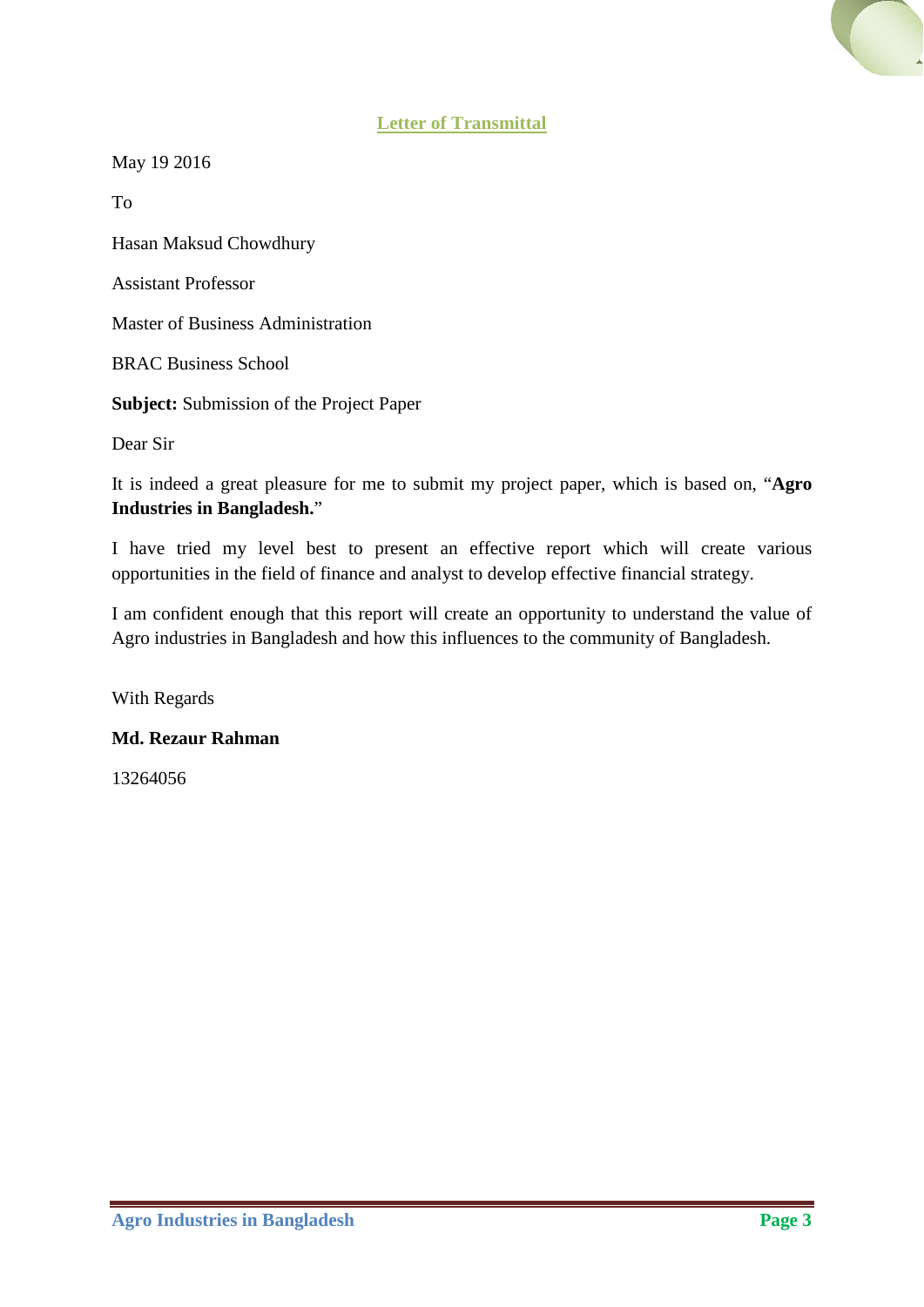

May 19 2016

To

Hasan Maksud Chowdhury

Assistant Professor

Master of Business Administration

BRAC Business School

**Subject:** Submission of the Project Paper

Dear Sir

It is indeed a great pleasure for me to submit my project paper, which is based on, "**Agro Industries in Bangladesh.**"

I have tried my level best to present an effective report which will create various opportunities in the field of finance and analyst to develop effective financial strategy.

I am confident enough that this report will create an opportunity to understand the value of Agro industries in Bangladesh and how this influences to the community of Bangladesh.

With Regards

#### **Md. Rezaur Rahman**

13264056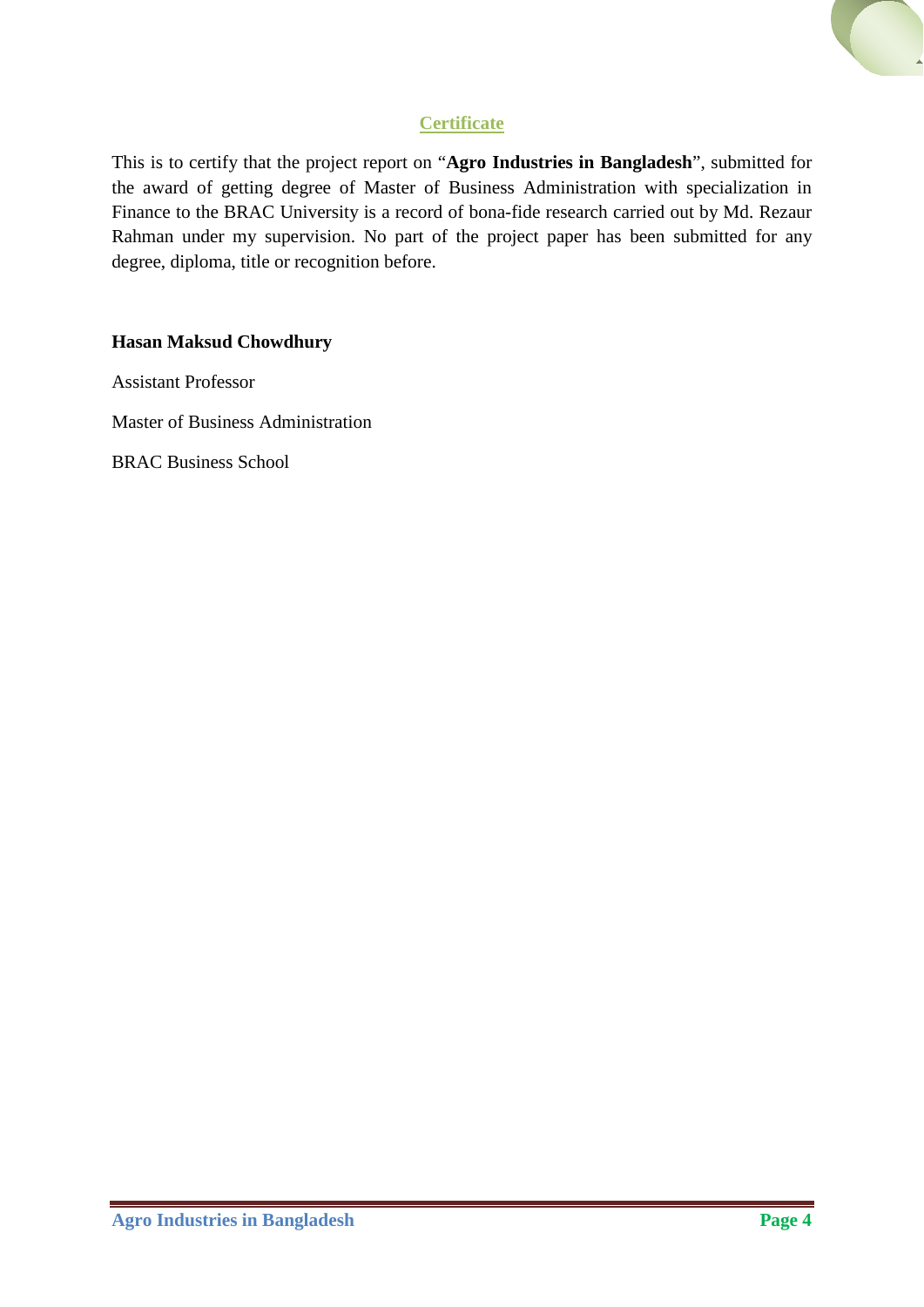# **Certificate**

This is to certify that the project report on "**Agro Industries in Bangladesh**", submitted for the award of getting degree of Master of Business Administration with specialization in Finance to the BRAC University is a record of bona-fide research carried out by Md. Rezaur Rahman under my supervision. No part of the project paper has been submitted for any degree, diploma, title or recognition before.

### **Hasan Maksud Chowdhury**

Assistant Professor

Master of Business Administration

BRAC Business School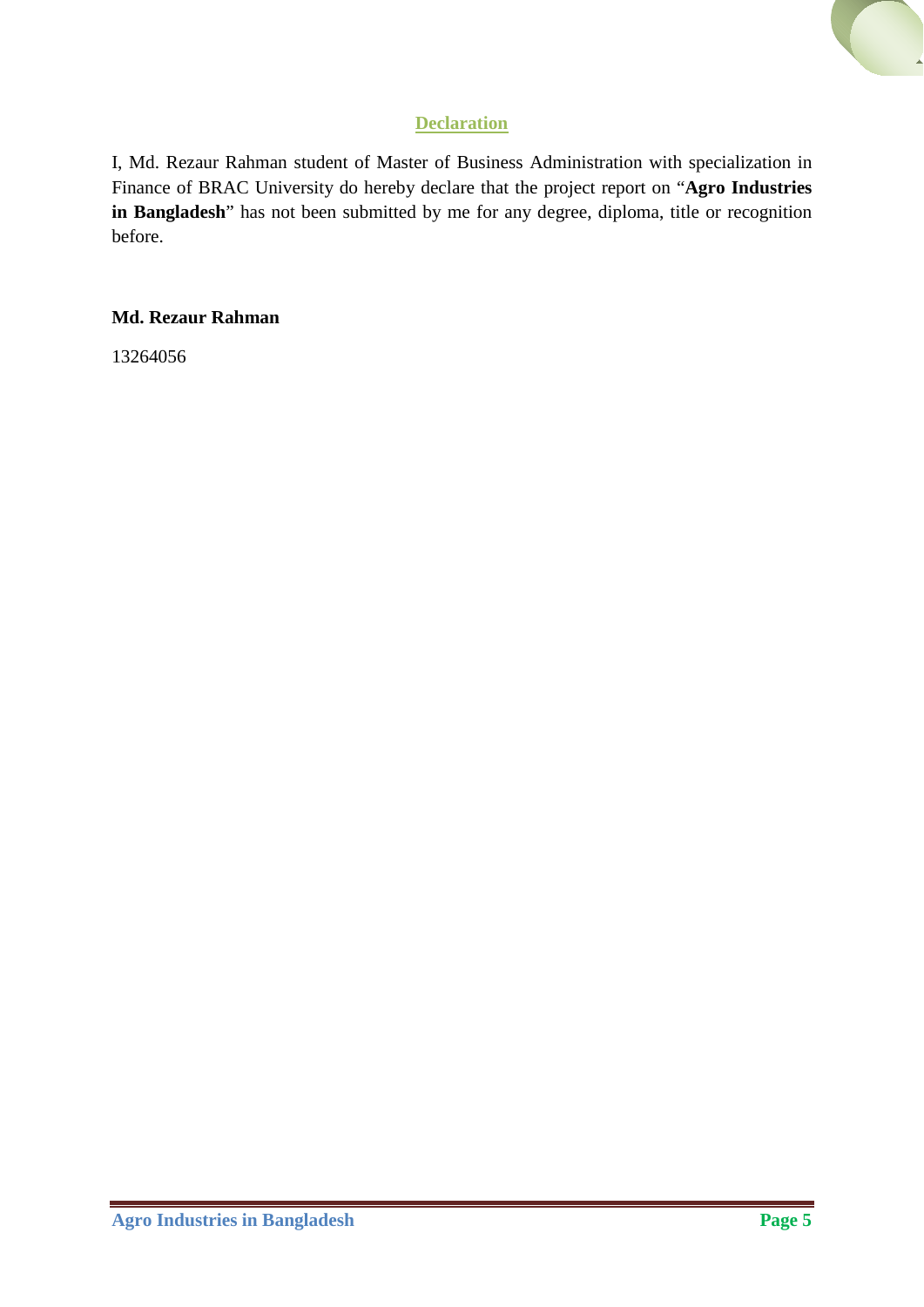# **Declaration**

I, Md. Rezaur Rahman student of Master of Business Administration with specialization in Finance of BRAC University do hereby declare that the project report on "**Agro Industries in Bangladesh**" has not been submitted by me for any degree, diploma, title or recognition before.

# **Md. Rezaur Rahman**

13264056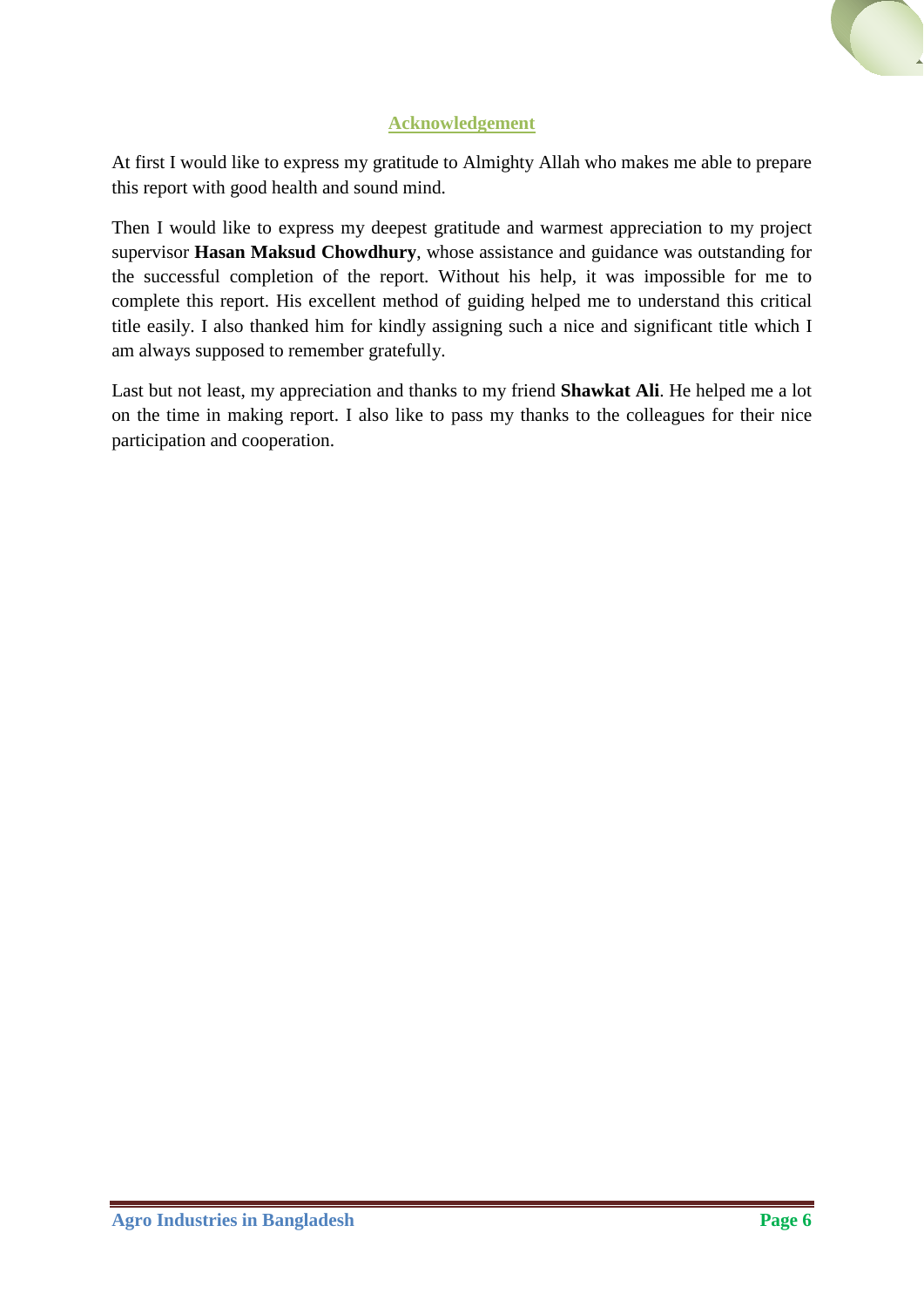

At first I would like to express my gratitude to Almighty Allah who makes me able to prepare this report with good health and sound mind.

Then I would like to express my deepest gratitude and warmest appreciation to my project supervisor **Hasan Maksud Chowdhury**, whose assistance and guidance was outstanding for the successful completion of the report. Without his help, it was impossible for me to complete this report. His excellent method of guiding helped me to understand this critical title easily. I also thanked him for kindly assigning such a nice and significant title which I am always supposed to remember gratefully.

Last but not least, my appreciation and thanks to my friend **Shawkat Ali**. He helped me a lot on the time in making report. I also like to pass my thanks to the colleagues for their nice participation and cooperation.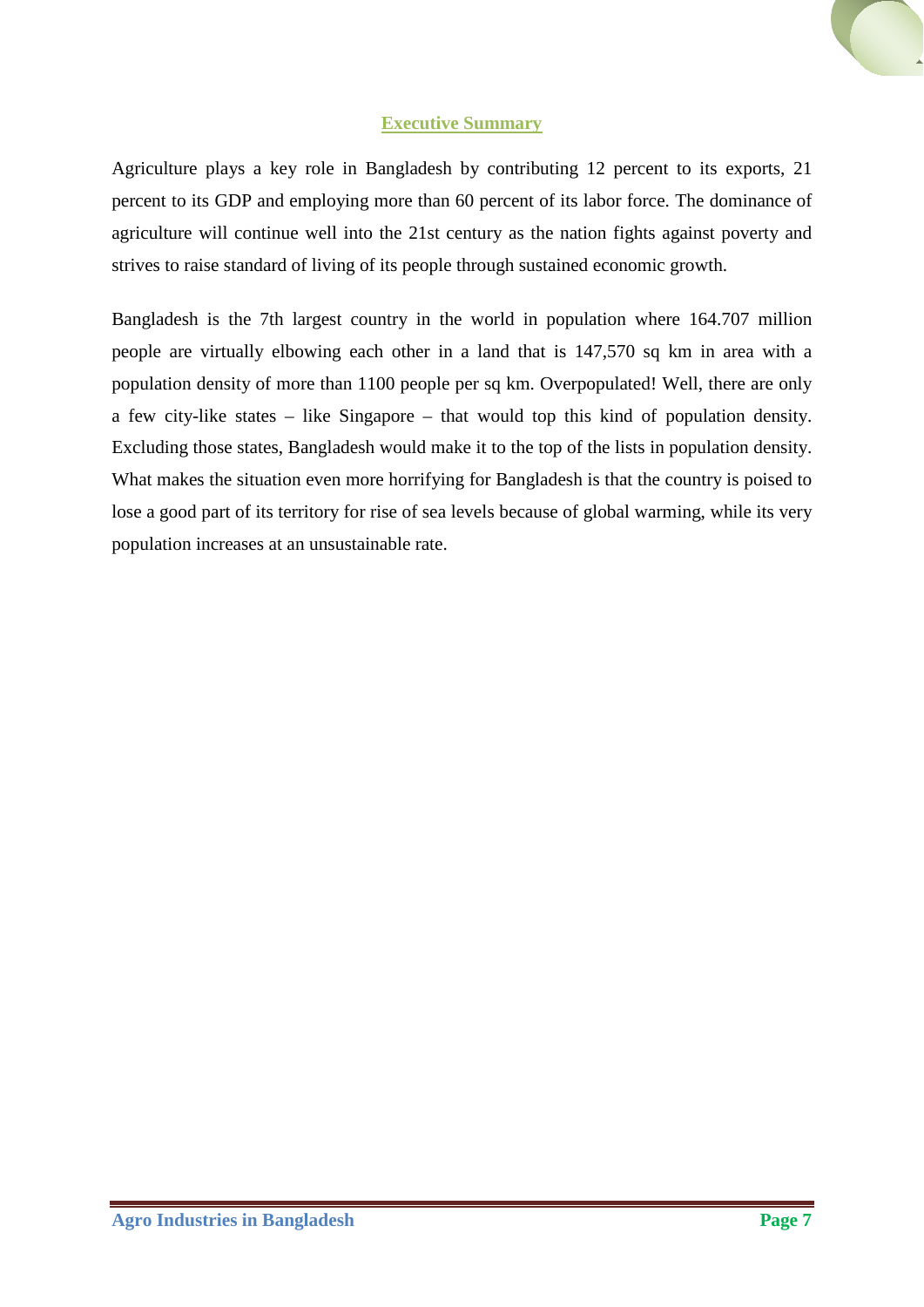# **Executive Summary**

Agriculture plays a key role in Bangladesh by contributing 12 percent to its exports, 21 percent to its GDP and employing more than 60 percent of its labor force. The dominance of agriculture will continue well into the 21st century as the nation fights against poverty and strives to raise standard of living of its people through sustained economic growth.

Bangladesh is the 7th largest country in the world in population where 164.707 million people are virtually elbowing each other in a land that is 147,570 sq km in area with a population density of more than 1100 people per sq km. Overpopulated! Well, there are only a few city-like states – like Singapore – that would top this kind of population density. Excluding those states, Bangladesh would make it to the top of the lists in population density. What makes the situation even more horrifying for Bangladesh is that the country is poised to lose a good part of its territory for rise of sea levels because of global warming, while its very population increases at an unsustainable rate.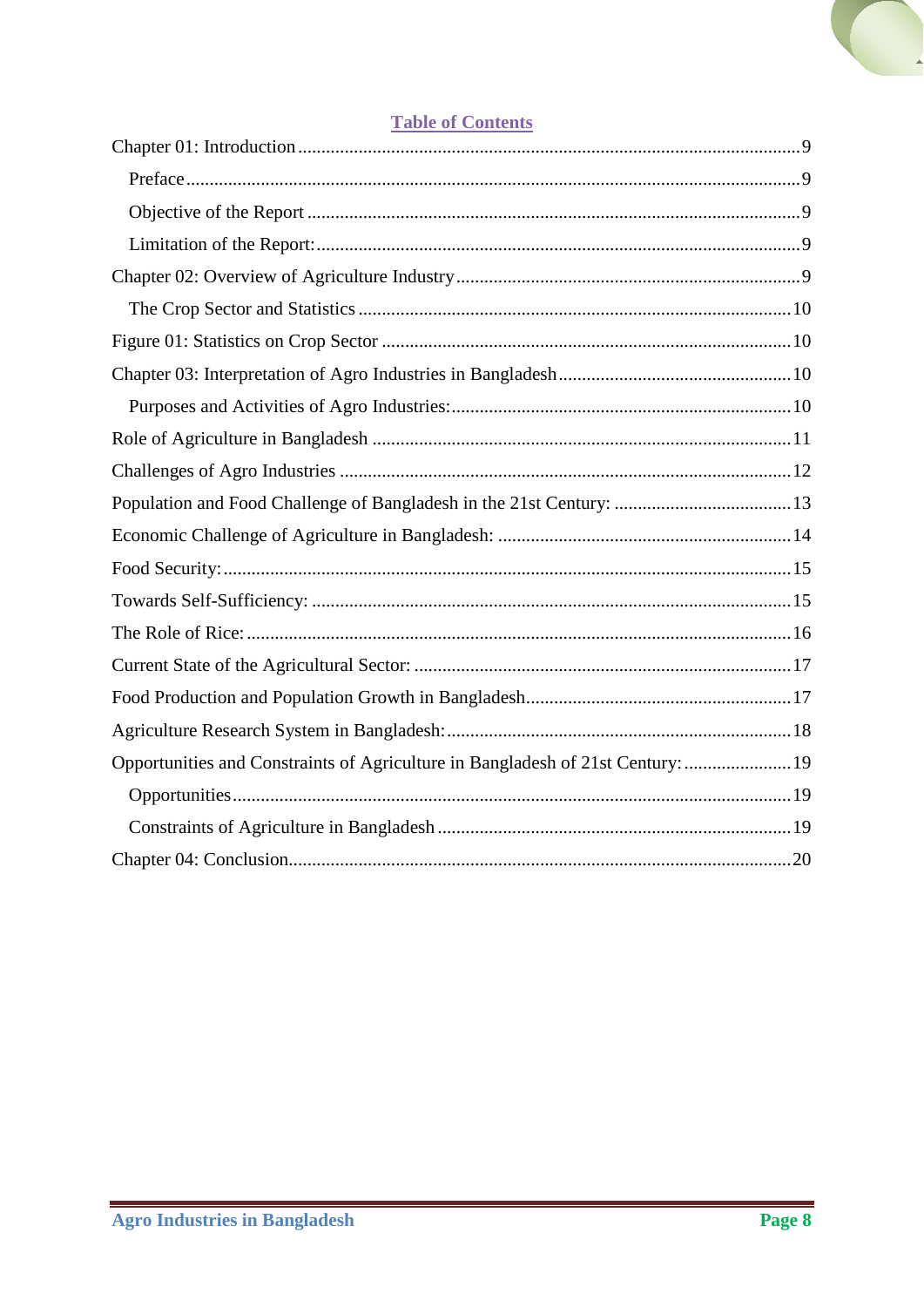

# **Table of Contents**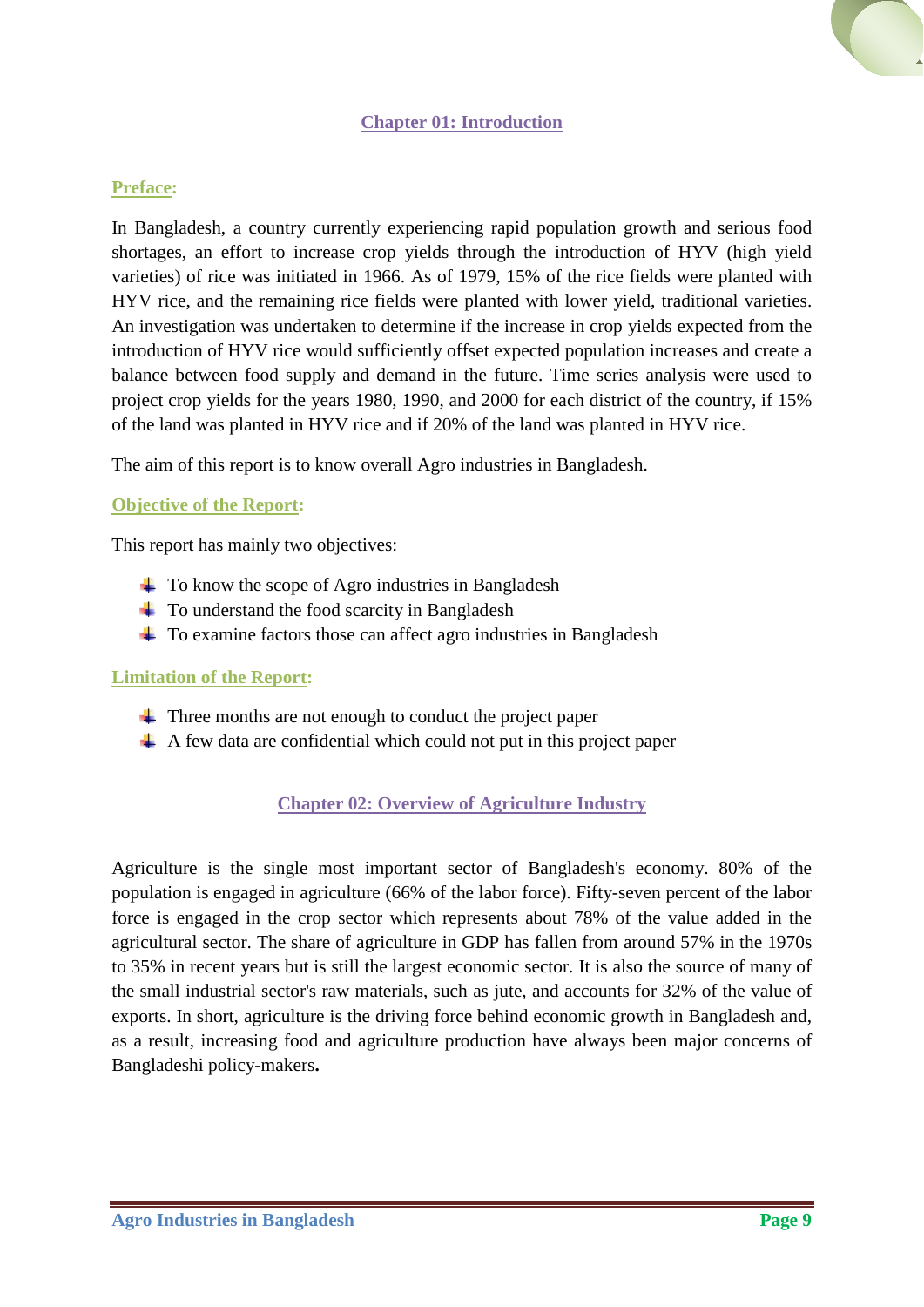# **Chapter 01: Introduction**

#### <span id="page-8-1"></span><span id="page-8-0"></span>**Preface:**

In Bangladesh, a country currently experiencing rapid population growth and serious food shortages, an effort to increase crop yields through the introduction of HYV (high yield varieties) of rice was initiated in 1966. As of 1979, 15% of the rice fields were planted with HYV rice, and the remaining rice fields were planted with lower yield, traditional varieties. An investigation was undertaken to determine if the increase in crop yields expected from the introduction of HYV rice would sufficiently offset expected population increases and create a balance between food supply and demand in the future. Time series analysis were used to project crop yields for the years 1980, 1990, and 2000 for each district of the country, if 15% of the land was planted in HYV rice and if 20% of the land was planted in HYV rice.

The aim of this report is to know overall Agro industries in Bangladesh.

### <span id="page-8-2"></span>**Objective of the Report:**

This report has mainly two objectives:

- $\pm$  To know the scope of Agro industries in Bangladesh
- $\ddot{\bullet}$  To understand the food scarcity in Bangladesh
- $\pm$  To examine factors those can affect agro industries in Bangladesh

#### <span id="page-8-3"></span>**Limitation of the Report:**

- $\pm$  Three months are not enough to conduct the project paper
- <span id="page-8-4"></span> $\uparrow$  A few data are confidential which could not put in this project paper

# **Chapter 02: Overview of Agriculture Industry**

Agriculture is the single most important sector of Bangladesh's economy. 80% of the population is engaged in agriculture (66% of the labor force). Fifty-seven percent of the labor force is engaged in the crop sector which represents about 78% of the value added in the agricultural sector. The share of agriculture in GDP has fallen from around 57% in the 1970s to 35% in recent years but is still the largest economic sector. It is also the source of many of the small industrial sector's raw materials, such as jute, and accounts for 32% of the value of exports. In short, agriculture is the driving force behind economic growth in Bangladesh and, as a result, increasing food and agriculture production have always been major concerns of Bangladeshi policy-makers**.**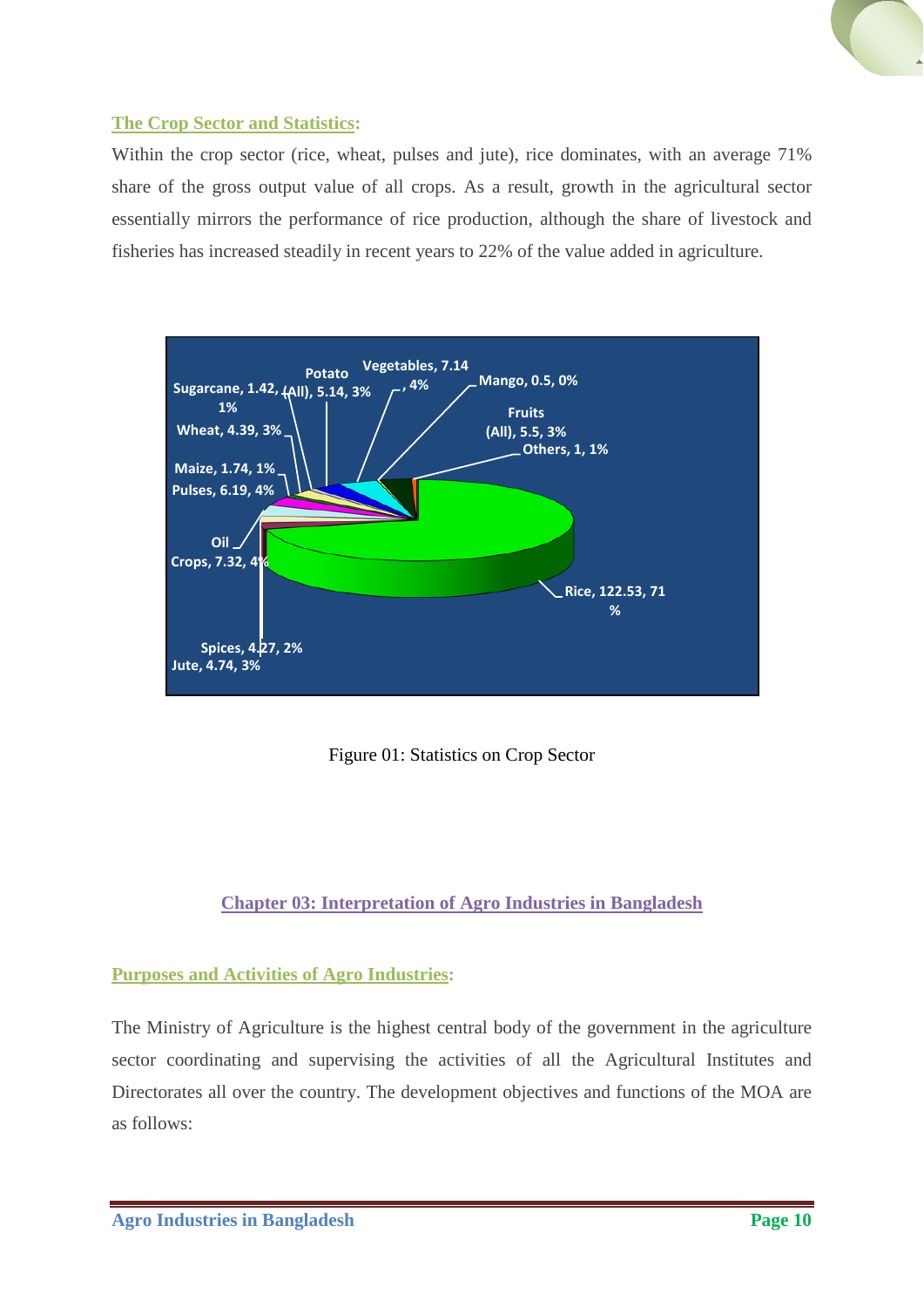# <span id="page-9-0"></span>**The Crop Sector and Statistics:**

Within the crop sector (rice, wheat, pulses and jute), rice dominates, with an average 71% share of the gross output value of all crops. As a result, growth in the agricultural sector essentially mirrors the performance of rice production, although the share of livestock and fisheries has increased steadily in recent years to 22% of the value added in agriculture.



Figure 01: Statistics on Crop Sector

# <span id="page-9-1"></span>**Chapter 03: Interpretation of Agro Industries in Bangladesh**

# <span id="page-9-3"></span><span id="page-9-2"></span>**Purposes and Activities of Agro Industries:**

The Ministry of Agriculture is the highest central body of the government in the agriculture sector coordinating and supervising the activities of all the Agricultural Institutes and Directorates all over the country. The development objectives and functions of the MOA are as follows: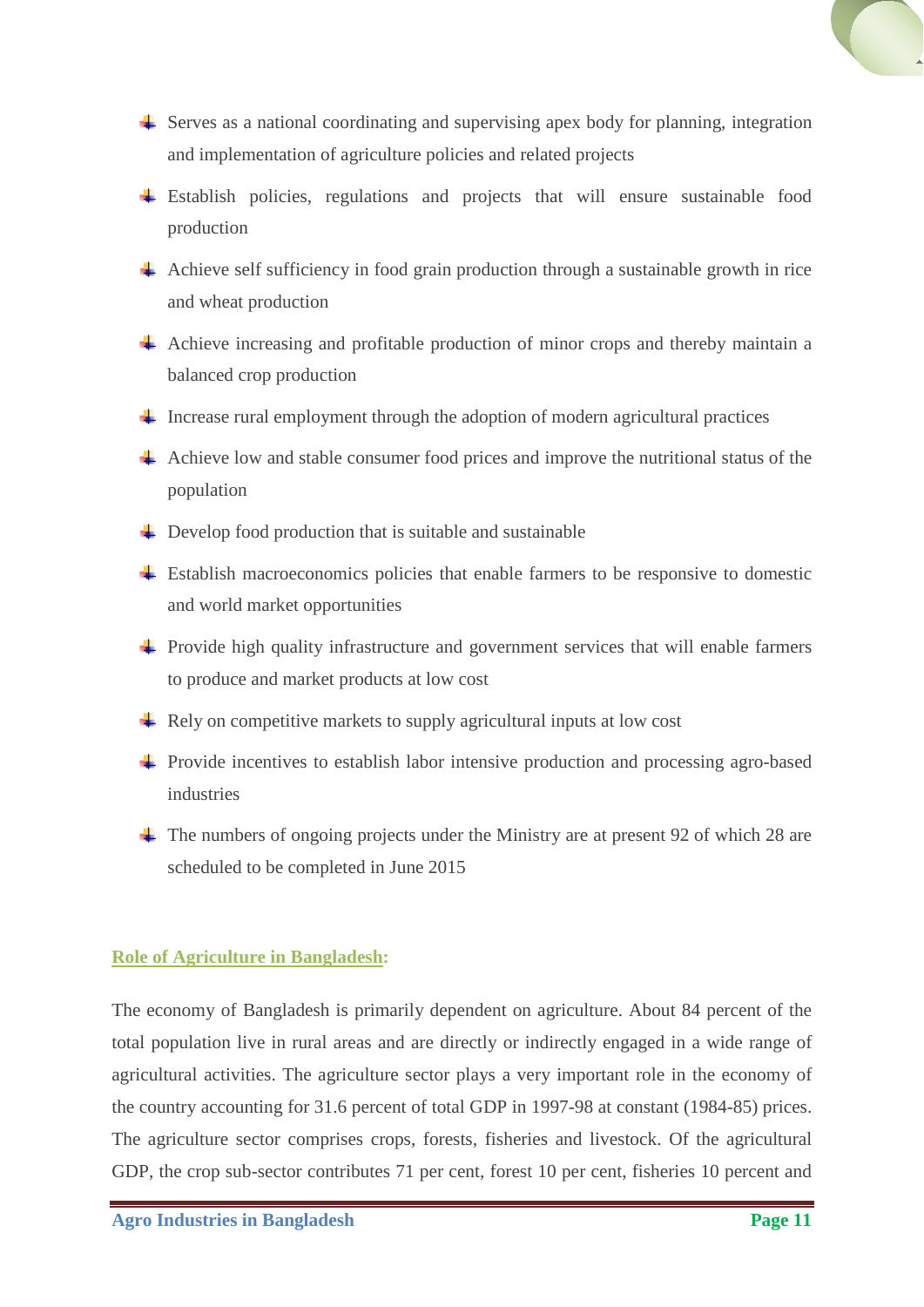

- $\triangleq$  Serves as a national coordinating and supervising apex body for planning, integration and implementation of agriculture policies and related projects
- Establish policies, regulations and projects that will ensure sustainable food production
- Achieve self sufficiency in food grain production through a sustainable growth in rice and wheat production
- $\overline{\phantom{a}}$  Achieve increasing and profitable production of minor crops and thereby maintain a balanced crop production
- $\ddot{\phantom{1}}$  Increase rural employment through the adoption of modern agricultural practices
- Achieve low and stable consumer food prices and improve the nutritional status of the population
- $\triangleq$  Develop food production that is suitable and sustainable
- $\pm$  Establish macroeconomics policies that enable farmers to be responsive to domestic and world market opportunities
- $\pm$  Provide high quality infrastructure and government services that will enable farmers to produce and market products at low cost
- $\triangleq$  Rely on competitive markets to supply agricultural inputs at low cost
- Provide incentives to establish labor intensive production and processing agro-based industries
- $\pm$  The numbers of ongoing projects under the Ministry are at present 92 of which 28 are scheduled to be completed in June 2015

#### <span id="page-10-0"></span>**Role of Agriculture in Bangladesh:**

The economy of Bangladesh is primarily dependent on agriculture. About 84 percent of the total population live in rural areas and are directly or indirectly engaged in a wide range of agricultural activities. The agriculture sector plays a very important role in the economy of the country accounting for 31.6 percent of total GDP in 1997-98 at constant (1984-85) prices. The agriculture sector comprises crops, forests, fisheries and livestock. Of the agricultural GDP, the crop sub-sector contributes 71 per cent, forest 10 per cent, fisheries 10 percent and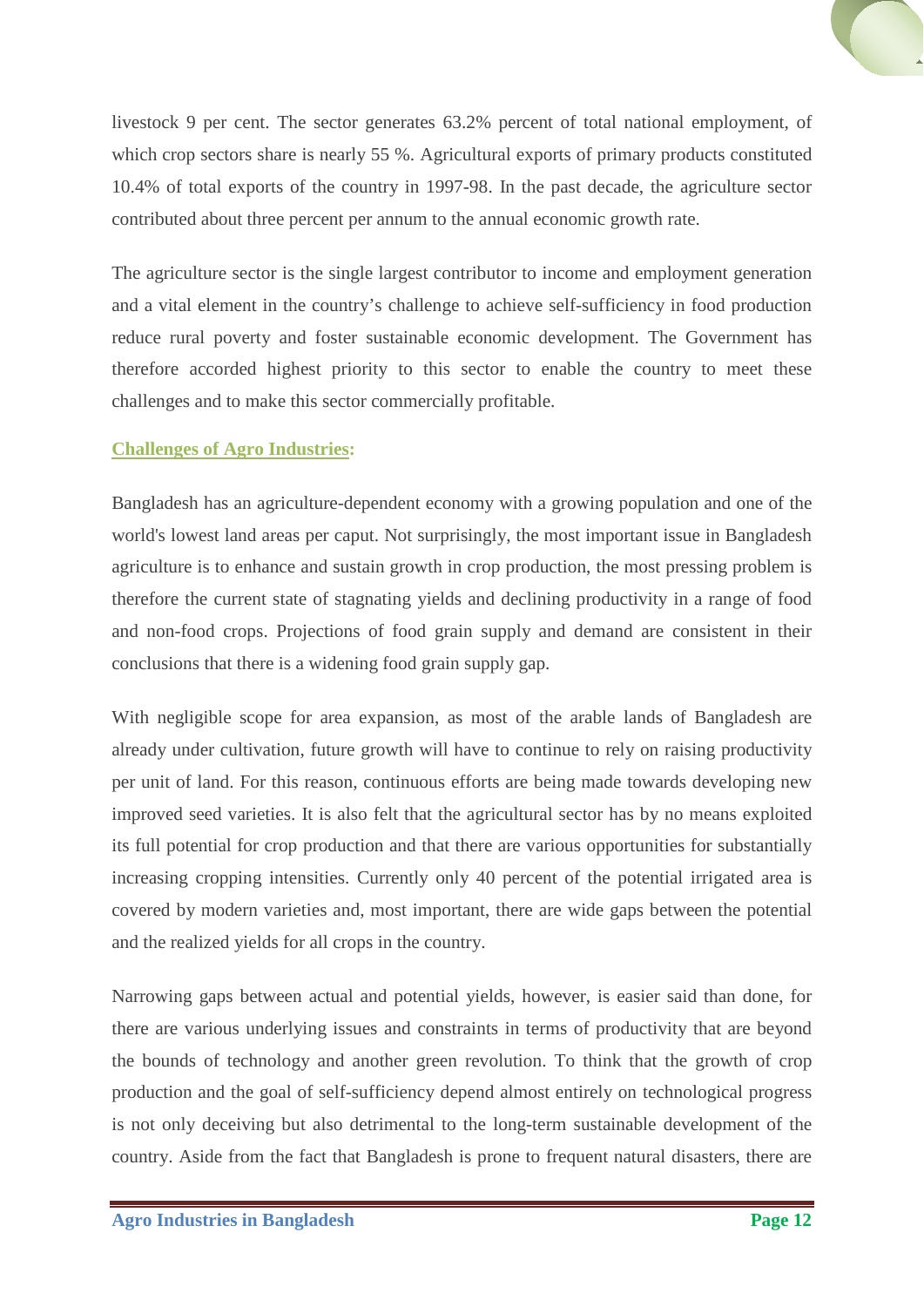livestock 9 per cent. The sector generates 63.2% percent of total national employment, of which crop sectors share is nearly 55 %. Agricultural exports of primary products constituted 10.4% of total exports of the country in 1997-98. In the past decade, the agriculture sector contributed about three percent per annum to the annual economic growth rate.

The agriculture sector is the single largest contributor to income and employment generation and a vital element in the country's challenge to achieve self-sufficiency in food production reduce rural poverty and foster sustainable economic development. The Government has therefore accorded highest priority to this sector to enable the country to meet these challenges and to make this sector commercially profitable.

# <span id="page-11-0"></span>**Challenges of Agro Industries:**

Bangladesh has an agriculture-dependent economy with a growing population and one of the world's lowest land areas per caput. Not surprisingly, the most important issue in Bangladesh agriculture is to enhance and sustain growth in crop production, the most pressing problem is therefore the current state of stagnating yields and declining productivity in a range of food and non-food crops. Projections of food grain supply and demand are consistent in their conclusions that there is a widening food grain supply gap.

With negligible scope for area expansion, as most of the arable lands of Bangladesh are already under cultivation, future growth will have to continue to rely on raising productivity per unit of land. For this reason, continuous efforts are being made towards developing new improved seed varieties. It is also felt that the agricultural sector has by no means exploited its full potential for crop production and that there are various opportunities for substantially increasing cropping intensities. Currently only 40 percent of the potential irrigated area is covered by modern varieties and, most important, there are wide gaps between the potential and the realized yields for all crops in the country.

Narrowing gaps between actual and potential yields, however, is easier said than done, for there are various underlying issues and constraints in terms of productivity that are beyond the bounds of technology and another green revolution. To think that the growth of crop production and the goal of self-sufficiency depend almost entirely on technological progress is not only deceiving but also detrimental to the long-term sustainable development of the country. Aside from the fact that Bangladesh is prone to frequent natural disasters, there are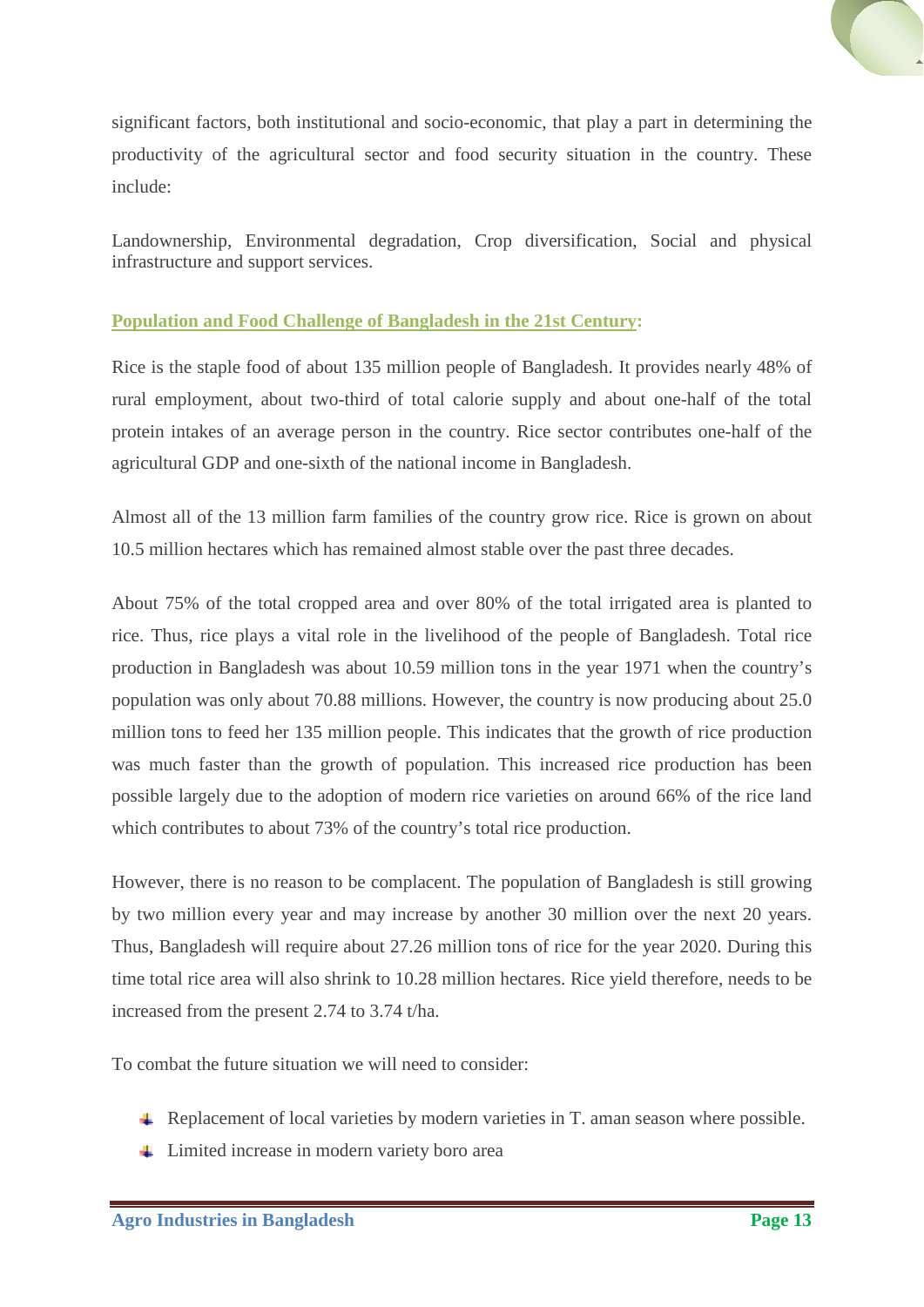

significant factors, both institutional and socio-economic, that play a part in determining the productivity of the agricultural sector and food security situation in the country. These include:

Landownership, Environmental degradation, Crop diversification, Social and physical infrastructure and support services.

# <span id="page-12-0"></span>**Population and Food Challenge of Bangladesh in the 21st Century:**

Rice is the staple food of about 135 million people of Bangladesh. It provides nearly 48% of rural employment, about two-third of total calorie supply and about one-half of the total protein intakes of an average person in the country. Rice sector contributes one-half of the agricultural GDP and one-sixth of the national income in Bangladesh.

Almost all of the 13 million farm families of the country grow rice. Rice is grown on about 10.5 million hectares which has remained almost stable over the past three decades.

About 75% of the total cropped area and over 80% of the total irrigated area is planted to rice. Thus, rice plays a vital role in the livelihood of the people of Bangladesh. Total rice production in Bangladesh was about 10.59 million tons in the year 1971 when the country's population was only about 70.88 millions. However, the country is now producing about 25.0 million tons to feed her 135 million people. This indicates that the growth of rice production was much faster than the growth of population. This increased rice production has been possible largely due to the adoption of modern rice varieties on around 66% of the rice land which contributes to about 73% of the country's total rice production.

However, there is no reason to be complacent. The population of Bangladesh is still growing by two million every year and may increase by another 30 million over the next 20 years. Thus, Bangladesh will require about 27.26 million tons of rice for the year 2020. During this time total rice area will also shrink to 10.28 million hectares. Rice yield therefore, needs to be increased from the present 2.74 to 3.74 t/ha.

To combat the future situation we will need to consider:

- **↓** Replacement of local varieties by modern varieties in T. aman season where possible.
- **↓** Limited increase in modern variety boro area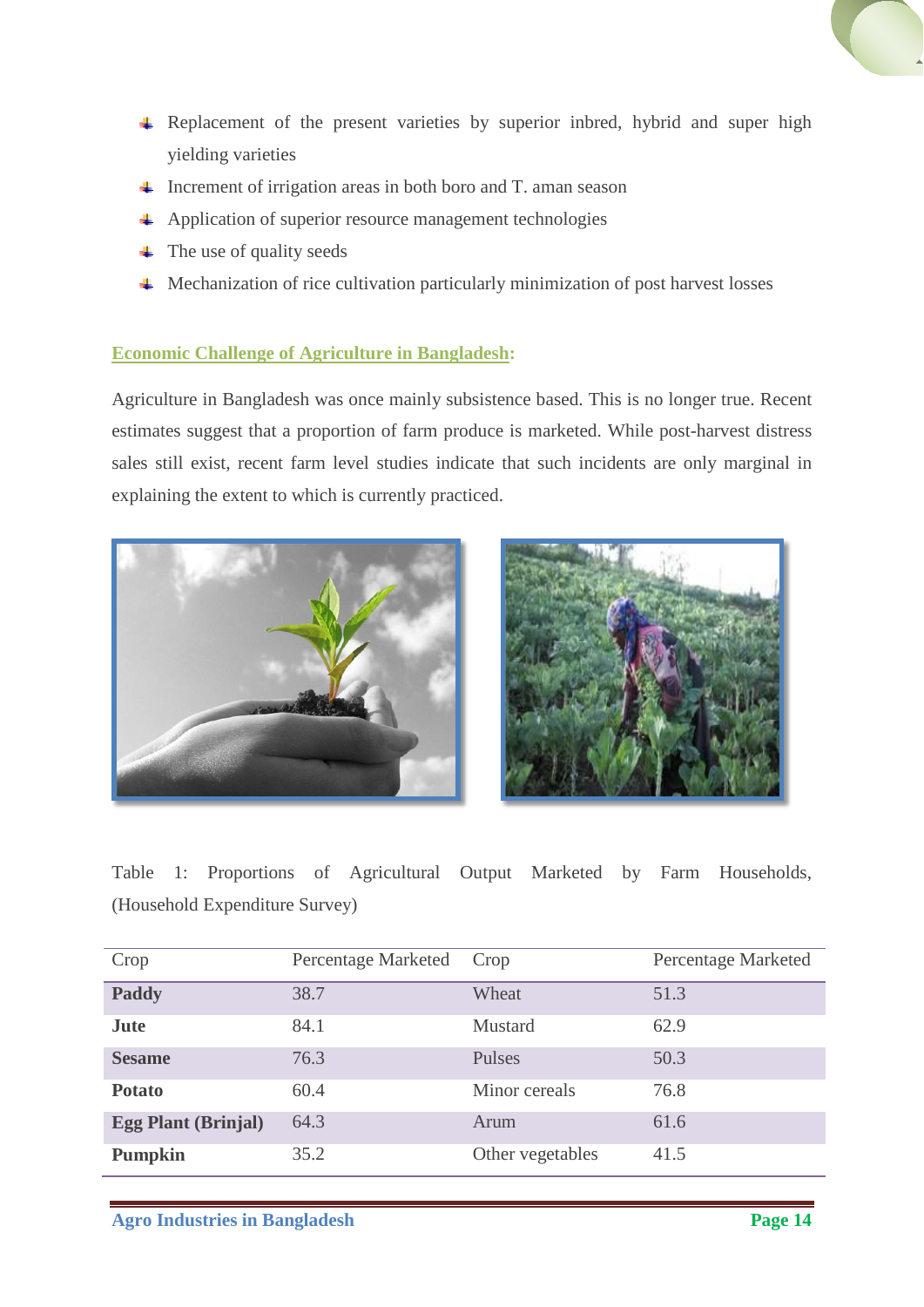

- $\ddot{\phantom{1}}$  Increment of irrigation areas in both boro and T. aman season
- Application of superior resource management technologies
- $\leftarrow$  The use of quality seeds
- Mechanization of rice cultivation particularly minimization of post harvest losses

### <span id="page-13-0"></span>**Economic Challenge of Agriculture in Bangladesh:**

Agriculture in Bangladesh was once mainly subsistence based. This is no longer true. Recent estimates suggest that a proportion of farm produce is marketed. While post-harvest distress sales still exist, recent farm level studies indicate that such incidents are only marginal in explaining the extent to which is currently practiced.





Table 1: Proportions of Agricultural Output Marketed by Farm Households, (Household Expenditure Survey)

| Crop                       | Percentage Marketed | Crop             | Percentage Marketed |
|----------------------------|---------------------|------------------|---------------------|
| Paddy                      | 38.7                | Wheat            | 51.3                |
| <b>Jute</b>                | 84.1                | Mustard          | 62.9                |
| <b>Sesame</b>              | 76.3                | Pulses           | 50.3                |
| <b>Potato</b>              | 60.4                | Minor cereals    | 76.8                |
| <b>Egg Plant (Brinjal)</b> | 64.3                | Arum             | 61.6                |
| <b>Pumpkin</b>             | 35.2                | Other vegetables | 41.5                |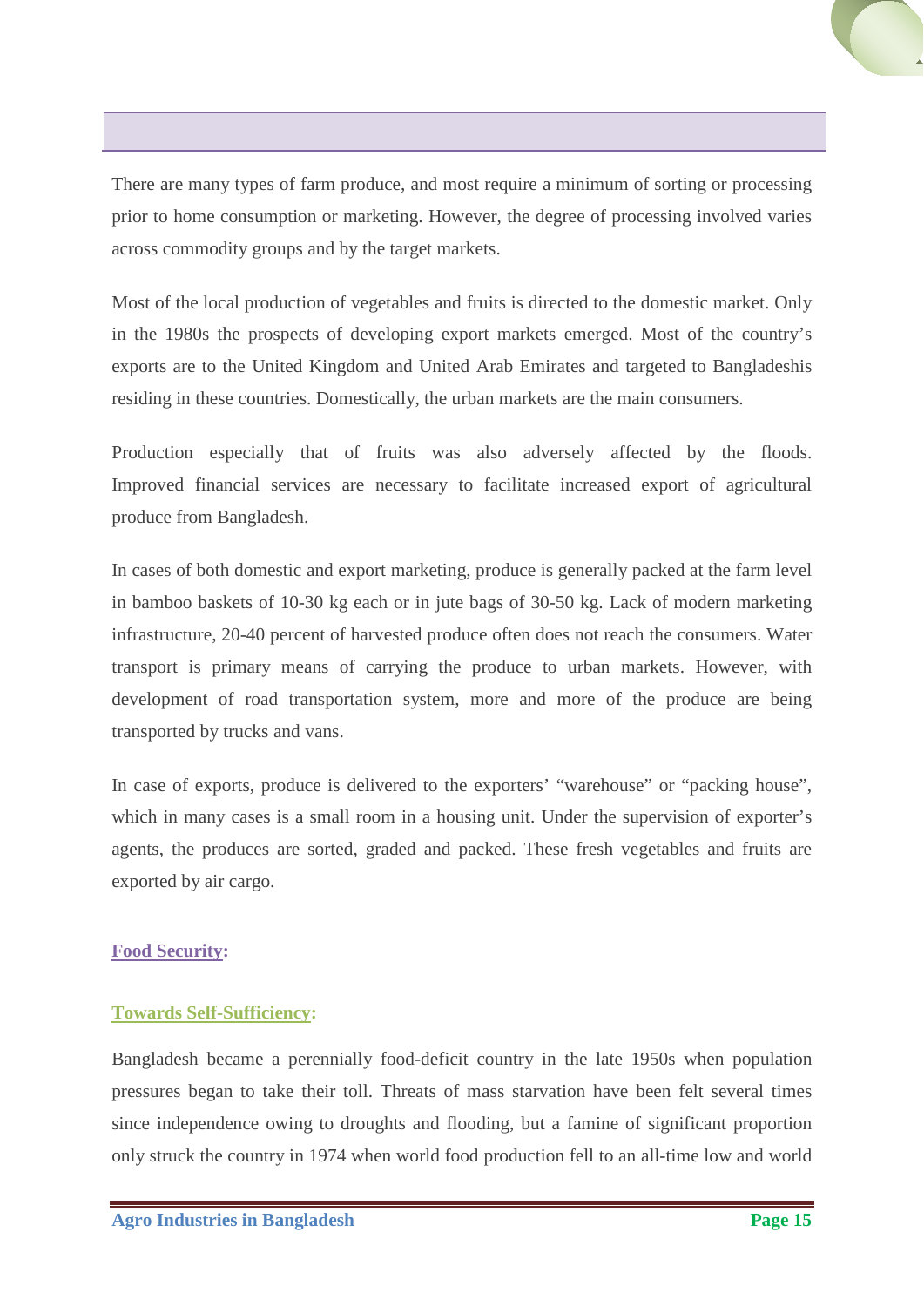There are many types of farm produce, and most require a minimum of sorting or processing prior to home consumption or marketing. However, the degree of processing involved varies across commodity groups and by the target markets.

Most of the local production of vegetables and fruits is directed to the domestic market. Only in the 1980s the prospects of developing export markets emerged. Most of the country's exports are to the United Kingdom and United Arab Emirates and targeted to Bangladeshis residing in these countries. Domestically, the urban markets are the main consumers.

Production especially that of fruits was also adversely affected by the floods. Improved financial services are necessary to facilitate increased export of agricultural produce from Bangladesh.

In cases of both domestic and export marketing, produce is generally packed at the farm level in bamboo baskets of 10-30 kg each or in jute bags of 30-50 kg. Lack of modern marketing infrastructure, 20-40 percent of harvested produce often does not reach the consumers. Water transport is primary means of carrying the produce to urban markets. However, with development of road transportation system, more and more of the produce are being transported by trucks and vans.

In case of exports, produce is delivered to the exporters' "warehouse" or "packing house", which in many cases is a small room in a housing unit. Under the supervision of exporter's agents, the produces are sorted, graded and packed. These fresh vegetables and fruits are exported by air cargo.

# <span id="page-14-1"></span><span id="page-14-0"></span>**Food Security:**

# **Towards Self-Sufficiency:**

Bangladesh became a perennially food-deficit country in the late 1950s when population pressures began to take their toll. Threats of mass starvation have been felt several times since independence owing to droughts and flooding, but a famine of significant proportion only struck the country in 1974 when world food production fell to an all-time low and world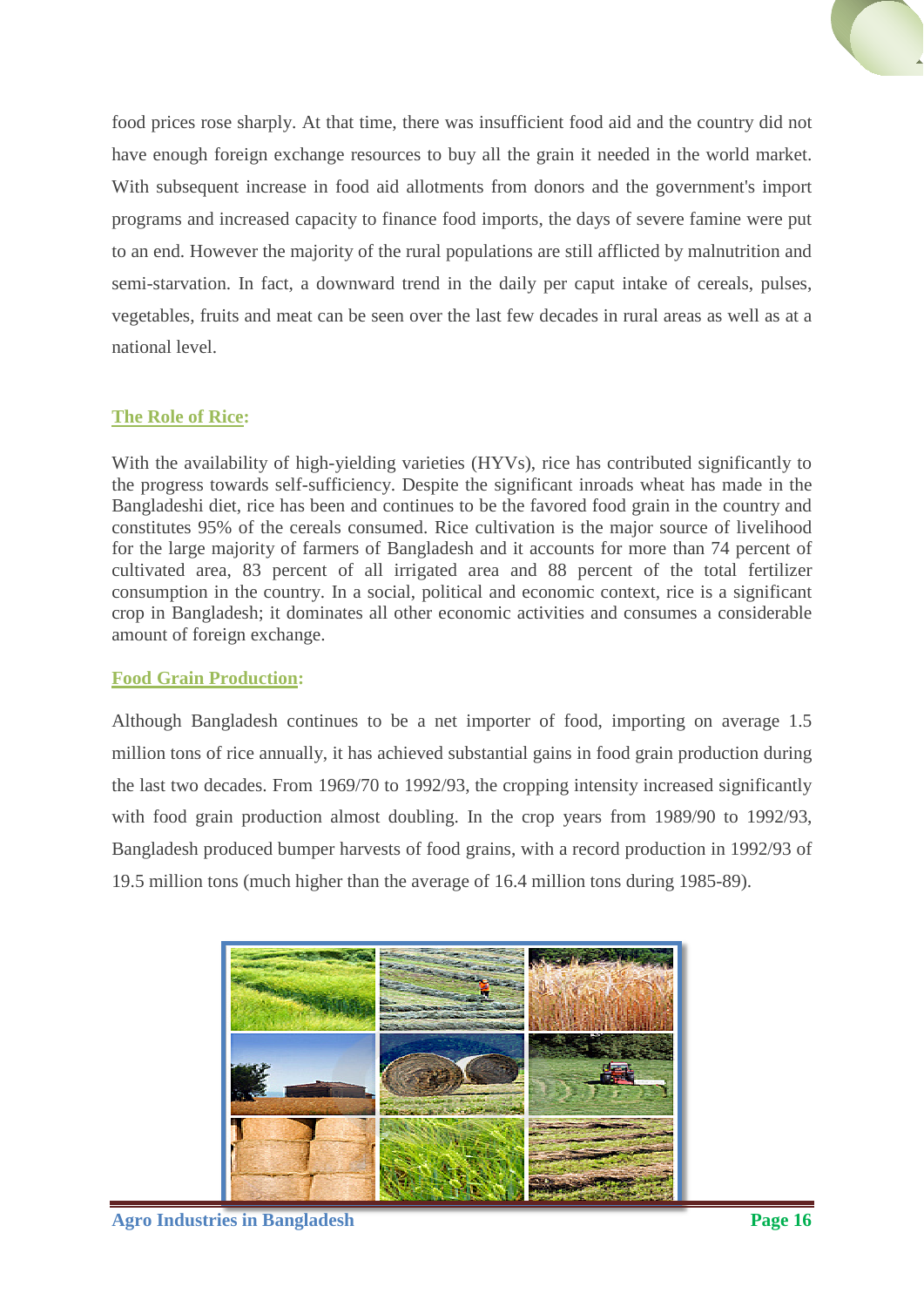food prices rose sharply. At that time, there was insufficient food aid and the country did not have enough foreign exchange resources to buy all the grain it needed in the world market. With subsequent increase in food aid allotments from donors and the government's import programs and increased capacity to finance food imports, the days of severe famine were put to an end. However the majority of the rural populations are still afflicted by malnutrition and semi-starvation. In fact, a downward trend in the daily per caput intake of cereals, pulses, vegetables, fruits and meat can be seen over the last few decades in rural areas as well as at a national level.

# <span id="page-15-0"></span>**The Role of Rice:**

With the availability of high-yielding varieties (HYVs), rice has contributed significantly to the progress towards self-sufficiency. Despite the significant inroads wheat has made in the Bangladeshi diet, rice has been and continues to be the favored food grain in the country and constitutes 95% of the cereals consumed. Rice cultivation is the major source of livelihood for the large majority of farmers of Bangladesh and it accounts for more than 74 percent of cultivated area, 83 percent of all irrigated area and 88 percent of the total fertilizer consumption in the country. In a social, political and economic context, rice is a significant crop in Bangladesh; it dominates all other economic activities and consumes a considerable amount of foreign exchange.

# **Food Grain Production:**

Although Bangladesh continues to be a net importer of food, importing on average 1.5 million tons of rice annually, it has achieved substantial gains in food grain production during the last two decades. From 1969/70 to 1992/93, the cropping intensity increased significantly with food grain production almost doubling. In the crop years from 1989/90 to 1992/93, Bangladesh produced bumper harvests of food grains, with a record production in 1992/93 of 19.5 million tons (much higher than the average of 16.4 million tons during 1985-89).

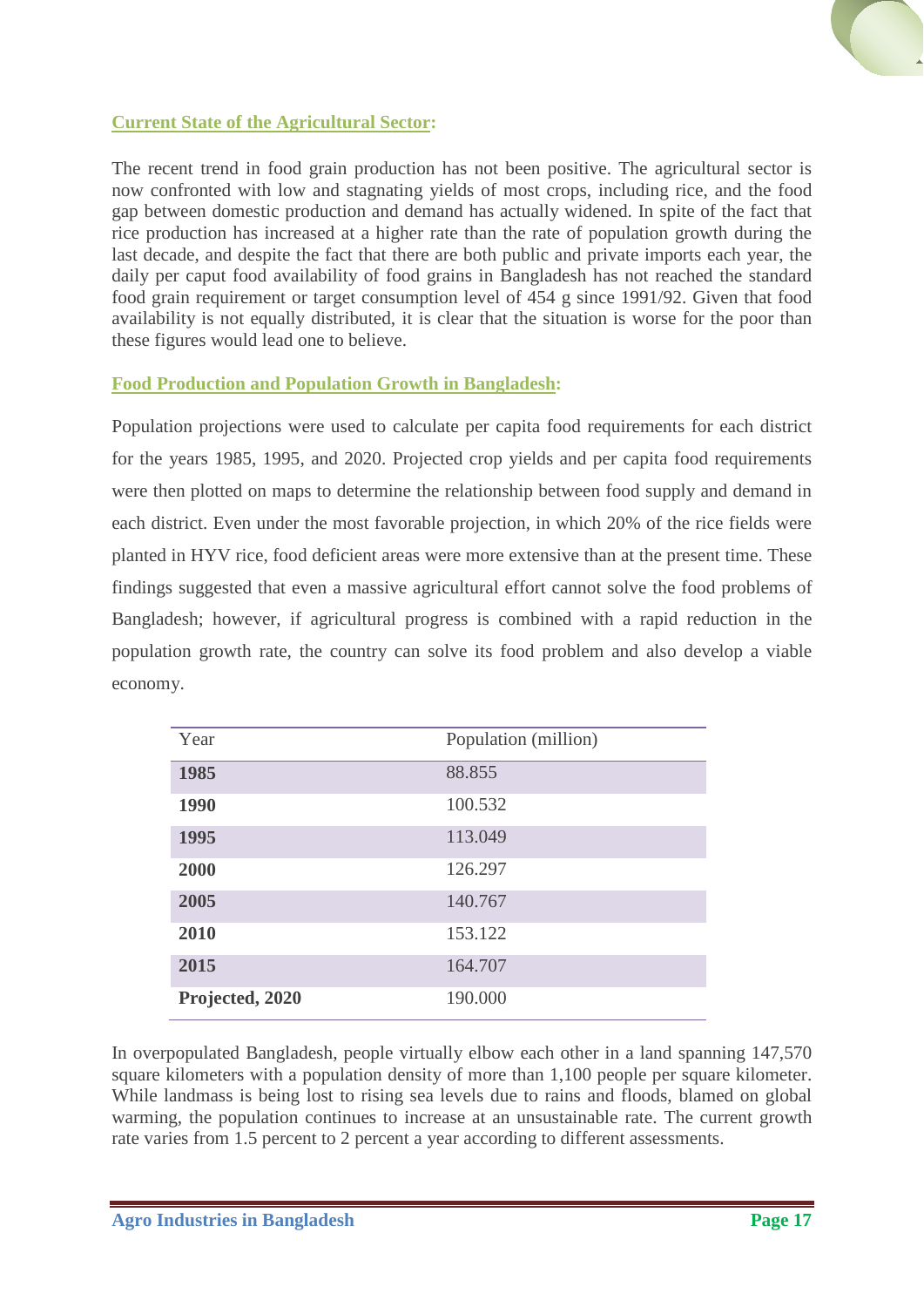

# <span id="page-16-0"></span>**Current State of the Agricultural Sector:**

The recent trend in food grain production has not been positive. The agricultural sector is now confronted with low and stagnating yields of most crops, including rice, and the food gap between domestic production and demand has actually widened. In spite of the fact that rice production has increased at a higher rate than the rate of population growth during the last decade, and despite the fact that there are both public and private imports each year, the daily per caput food availability of food grains in Bangladesh has not reached the standard food grain requirement or target consumption level of 454 g since 1991/92. Given that food availability is not equally distributed, it is clear that the situation is worse for the poor than these figures would lead one to believe.

# <span id="page-16-1"></span>**Food Production and Population Growth in Bangladesh:**

Population projections were used to calculate per capita food requirements for each district for the years 1985, 1995, and 2020. Projected crop yields and per capita food requirements were then plotted on maps to determine the relationship between food supply and demand in each district. Even under the most favorable projection, in which 20% of the rice fields were planted in HYV rice, food deficient areas were more extensive than at the present time. These findings suggested that even a massive agricultural effort cannot solve the food problems of Bangladesh; however, if agricultural progress is combined with a rapid reduction in the population growth rate, the country can solve its food problem and also develop a viable economy.

| Year            | Population (million) |
|-----------------|----------------------|
| 1985            | 88.855               |
| 1990            | 100.532              |
| 1995            | 113.049              |
| 2000            | 126.297              |
| 2005            | 140.767              |
| 2010            | 153.122              |
| 2015            | 164.707              |
| Projected, 2020 | 190.000              |

In overpopulated Bangladesh, people virtually elbow each other in a land spanning 147,570 square kilometers with a population density of more than 1,100 people per square kilometer. While landmass is being lost to rising sea levels due to rains and floods, blamed on global warming, the population continues to increase at an unsustainable rate. The current growth rate varies from 1.5 percent to 2 percent a year according to different assessments.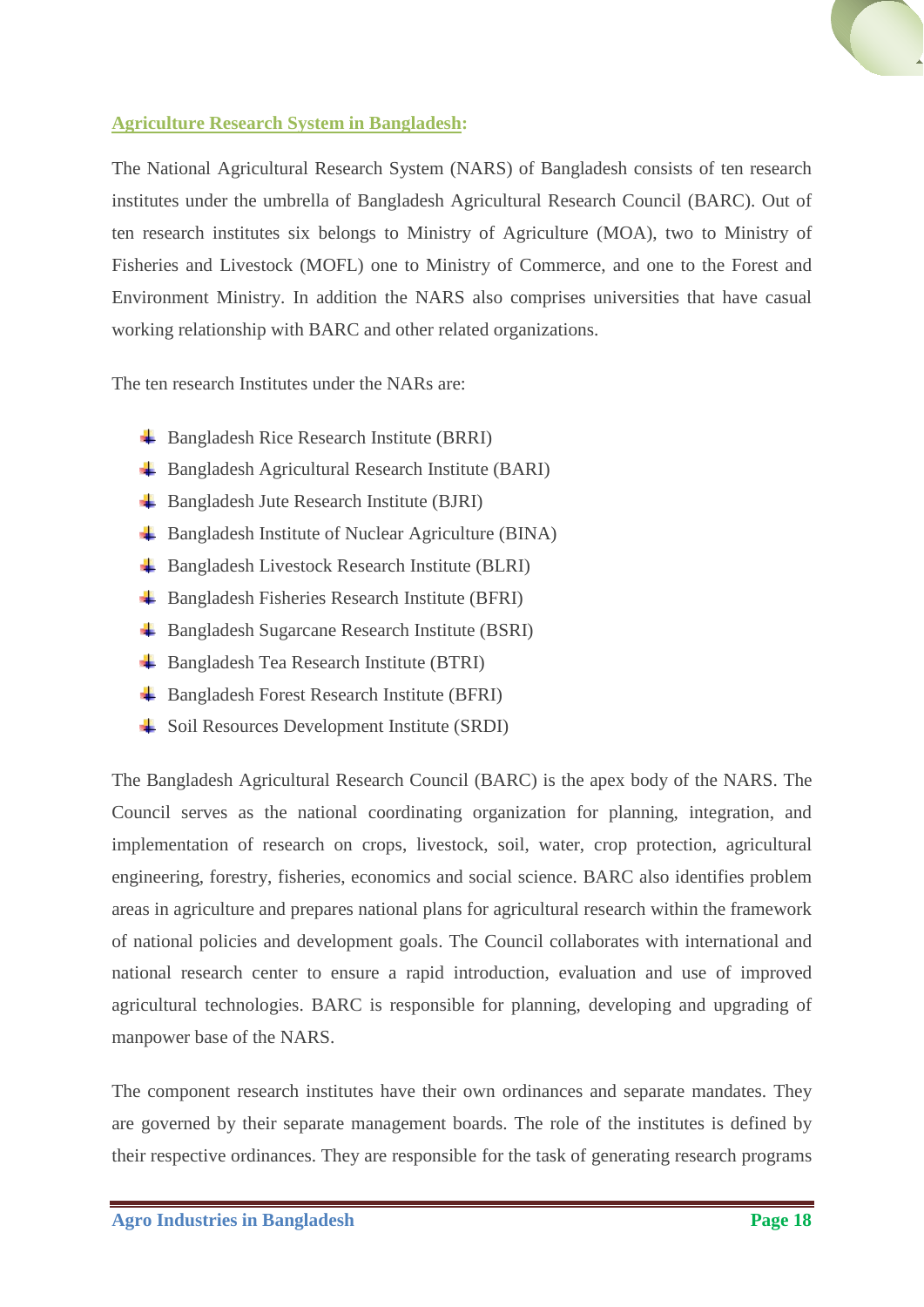

# <span id="page-17-0"></span>**Agriculture Research System in Bangladesh:**

The National Agricultural Research System (NARS) of Bangladesh consists of ten research institutes under the umbrella of Bangladesh Agricultural Research Council (BARC). Out of ten research institutes six belongs to Ministry of Agriculture (MOA), two to Ministry of Fisheries and Livestock (MOFL) one to Ministry of Commerce, and one to the Forest and Environment Ministry. In addition the NARS also comprises universities that have casual working relationship with BARC and other related organizations.

The ten research Institutes under the NARs are:

- Bangladesh Rice Research Institute (BRRI)
- Bangladesh Agricultural Research Institute (BARI)
- **Bangladesh Jute Research Institute (BJRI)**
- $\triangle$  Bangladesh Institute of Nuclear Agriculture (BINA)
- $\triangleq$  Bangladesh Livestock Research Institute (BLRI)
- Bangladesh Fisheries Research Institute (BFRI)
- Bangladesh Sugarcane Research Institute (BSRI)
- **Bangladesh Tea Research Institute (BTRI)**
- Bangladesh Forest Research Institute (BFRI)
- **↓** Soil Resources Development Institute (SRDI)

The Bangladesh Agricultural Research Council (BARC) is the apex body of the NARS. The Council serves as the national coordinating organization for planning, integration, and implementation of research on crops, livestock, soil, water, crop protection, agricultural engineering, forestry, fisheries, economics and social science. BARC also identifies problem areas in agriculture and prepares national plans for agricultural research within the framework of national policies and development goals. The Council collaborates with international and national research center to ensure a rapid introduction, evaluation and use of improved agricultural technologies. BARC is responsible for planning, developing and upgrading of manpower base of the NARS.

The component research institutes have their own ordinances and separate mandates. They are governed by their separate management boards. The role of the institutes is defined by their respective ordinances. They are responsible for the task of generating research programs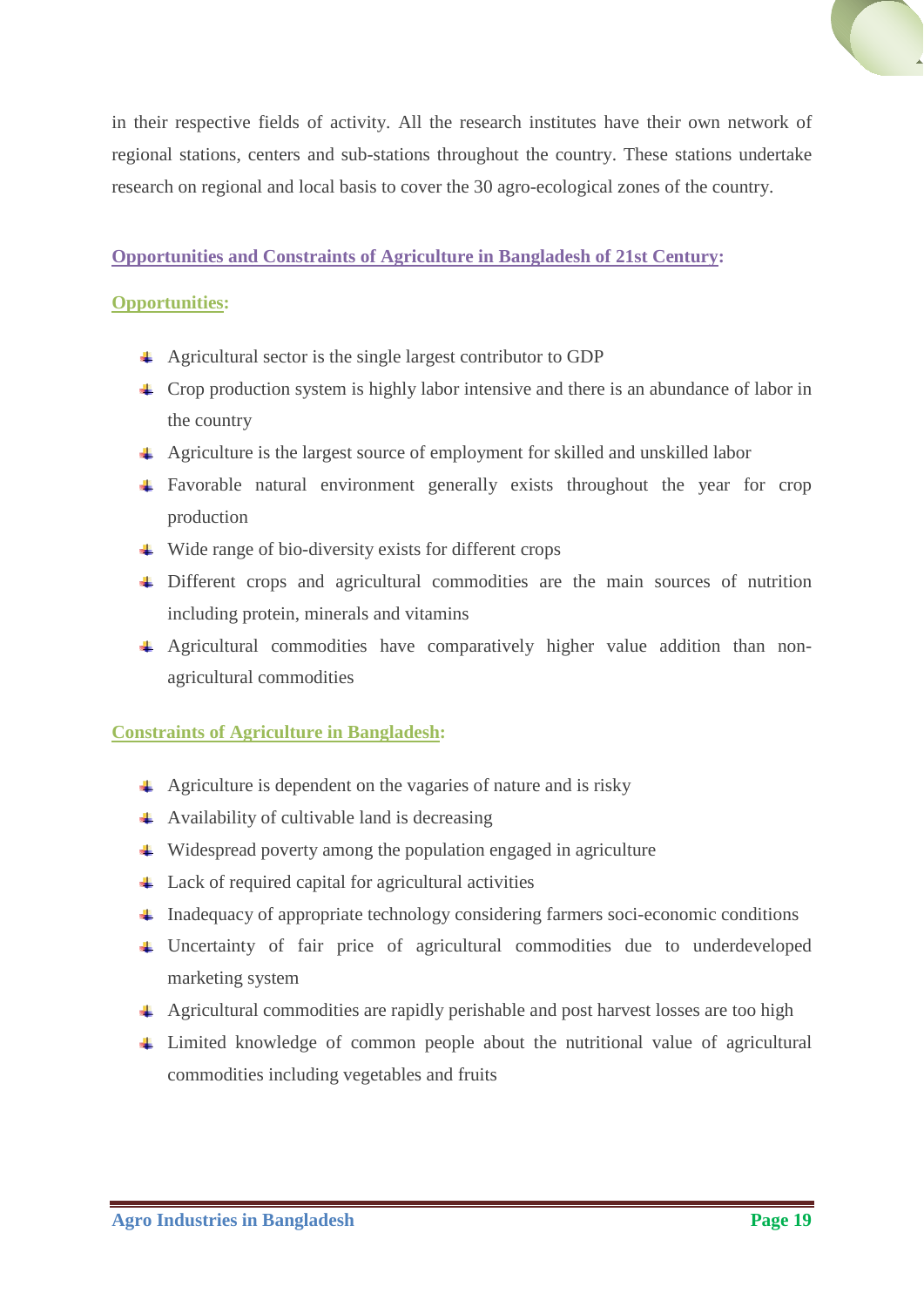

in their respective fields of activity. All the research institutes have their own network of regional stations, centers and sub-stations throughout the country. These stations undertake research on regional and local basis to cover the 30 agro-ecological zones of the country.

# <span id="page-18-0"></span>**Opportunities and Constraints of Agriculture in Bangladesh of 21st Century:**

# <span id="page-18-1"></span>**Opportunities:**

- Agricultural sector is the single largest contributor to GDP
- $\perp$  Crop production system is highly labor intensive and there is an abundance of labor in the country
- Agriculture is the largest source of employment for skilled and unskilled labor
- Favorable natural environment generally exists throughout the year for crop production
- $\ddot{\bullet}$  Wide range of bio-diversity exists for different crops
- Different crops and agricultural commodities are the main sources of nutrition including protein, minerals and vitamins
- Agricultural commodities have comparatively higher value addition than nonagricultural commodities

# <span id="page-18-2"></span>**Constraints of Agriculture in Bangladesh:**

- $\overline{+}$  Agriculture is dependent on the vagaries of nature and is risky
- $\overline{\phantom{a}}$  Availability of cultivable land is decreasing
- Widespread poverty among the population engaged in agriculture
- Lack of required capital for agricultural activities
- $\ddot{\bullet}$  Inadequacy of appropriate technology considering farmers soci-economic conditions
- Uncertainty of fair price of agricultural commodities due to underdeveloped marketing system
- Agricultural commodities are rapidly perishable and post harvest losses are too high
- Limited knowledge of common people about the nutritional value of agricultural commodities including vegetables and fruits